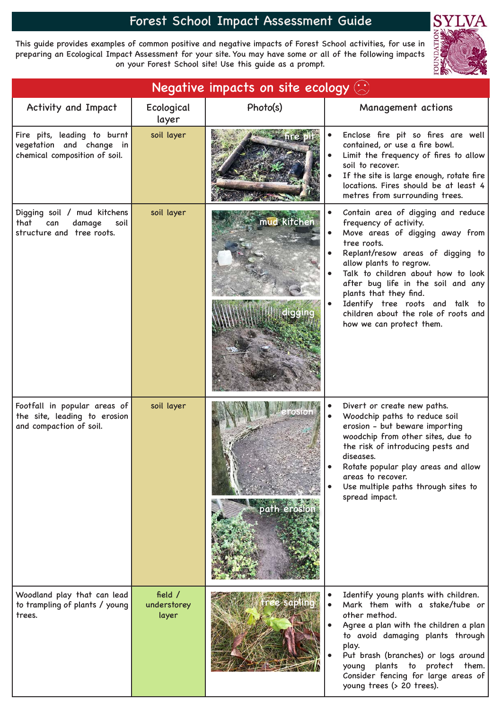## Forest School Impact Assessment Guide

This guide provides examples of common positive and negative impacts of Forest School activities, for use in preparing an Ecological Impact Assessment for your site. You may have some or all of the following impacts on your Forest School site! Use this guide as a prompt.



| Negative impacts on site ecology $\langle \cdot \rangle$                                  |                                   |              |                                                                                                                                                                                                                                                                                                                                                                                             |  |
|-------------------------------------------------------------------------------------------|-----------------------------------|--------------|---------------------------------------------------------------------------------------------------------------------------------------------------------------------------------------------------------------------------------------------------------------------------------------------------------------------------------------------------------------------------------------------|--|
| Activity and Impact                                                                       | Ecological<br>layer               | Photo(s)     | Management actions                                                                                                                                                                                                                                                                                                                                                                          |  |
| Fire pits, leading to burnt<br>vegetation and change in<br>chemical composition of soil.  | soil layer                        |              | Enclose fire pit so fires are well<br>contained, or use a fire bowl.<br>Limit the frequency of fires to allow<br>soil to recover.<br>If the site is large enough, rotate fire<br>locations. Fires should be at least 4<br>metres from surrounding trees.                                                                                                                                    |  |
| Digging soil / mud kitchens<br>that<br>damage<br>can<br>soil<br>structure and tree roots. | soil layer                        | mud kitchen  | Contain area of digging and reduce<br>frequency of activity.<br>Move areas of digging away from<br>tree roots.<br>Replant/resow areas of digging to<br>allow plants to regrow.<br>Talk to children about how to look<br>after bug life in the soil and any<br>plants that they find.<br>Identify tree roots and talk to<br>children about the role of roots and<br>how we can protect them. |  |
| Footfall in popular areas of<br>the site, leading to erosion<br>and compaction of soil.   | soil layer                        | path erosion | Divert or create new paths.<br>Woodchip paths to reduce soil<br>erosion - but beware importing<br>woodchip from other sites, due to<br>the risk of introducing pests and<br>diseases.<br>Rotate popular play areas and allow<br>areas to recover.<br>Use multiple paths through sites to<br>spread impact.                                                                                  |  |
| Woodland play that can lead<br>to trampling of plants / young<br>trees.                   | field $/$<br>understorey<br>layer |              | Identify young plants with children.<br>Mark them with a stake/tube or<br>other method.<br>Agree a plan with the children a plan<br>to avoid damaging plants through<br>play.<br>Put brash (branches) or logs around<br>young plants to protect them.<br>Consider fencing for large areas of<br>young trees (> 20 trees).                                                                   |  |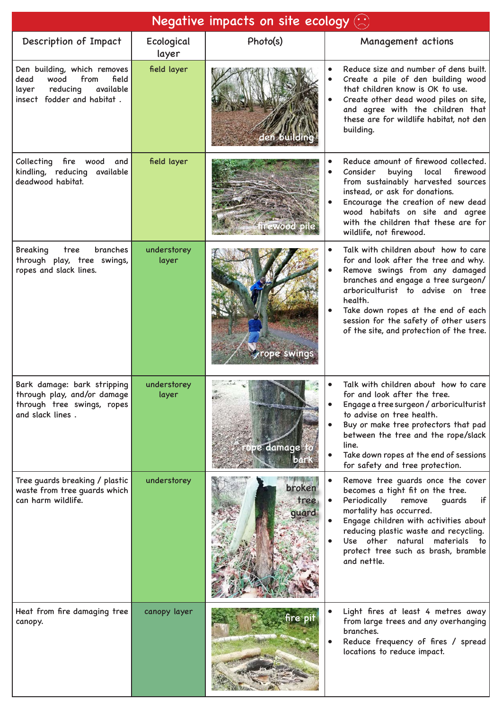| Negative impacts on site ecology $\langle \cdot \rangle$                                                                     |                      |                         |                                                                                                                                                                                                                                                                                                                                  |  |  |
|------------------------------------------------------------------------------------------------------------------------------|----------------------|-------------------------|----------------------------------------------------------------------------------------------------------------------------------------------------------------------------------------------------------------------------------------------------------------------------------------------------------------------------------|--|--|
| Description of Impact                                                                                                        | Ecological<br>layer  | Photo(s)                | Management actions                                                                                                                                                                                                                                                                                                               |  |  |
| Den building, which removes<br>from<br>field<br>dead<br>wood<br>available<br>reducing<br>layer<br>insect fodder and habitat. | field layer          |                         | Reduce size and number of dens built.<br>Create a pile of den building wood<br>that children know is OK to use.<br>Create other dead wood piles on site,<br>and agree with the children that<br>these are for wildlife habitat, not den<br>building.                                                                             |  |  |
| Collecting<br>fire wood<br>and<br>kindling, reducing available<br>deadwood habitat.                                          | field layer          |                         | Reduce amount of firewood collected.<br>Consider<br>buying<br>local<br>firewood<br>from sustainably harvested sources<br>instead, or ask for donations.<br>Encourage the creation of new dead<br>wood habitats on site and agree<br>with the children that these are for<br>wildlife, not firewood.                              |  |  |
| branches<br><b>Breaking</b><br>tree<br>through play, tree swings,<br>ropes and slack lines.                                  | understorey<br>layer | rope swings             | Talk with children about how to care<br>for and look after the tree and why.<br>Remove swings from any damaged<br>branches and engage a tree surgeon/<br>arboriculturist to advise on tree<br>health.<br>Take down ropes at the end of each<br>session for the safety of other users<br>of the site, and protection of the tree. |  |  |
| Bark damage: bark stripping<br>through play, and/or damage<br>through tree swings, ropes<br>and slack lines.                 | understorey<br>layer | ope damage to           | Talk with children about how to care<br>for and look after the tree.<br>Engage a tree surgeon / arboriculturist<br>to advise on tree health.<br>Buy or make tree protectors that pad<br>between the tree and the rope/slack<br>line.<br>Take down ropes at the end of sessions<br>for safety and tree protection.                |  |  |
| Tree guards breaking / plastic<br>waste from tree guards which<br>can harm wildlife.                                         | understorey          | broken<br>tree<br>quard | Remove tree guards once the cover<br>becomes a tight fit on the tree.<br>Periodically<br>guards<br>remove<br>if<br>mortality has occurred.<br>Engage children with activities about<br>reducing plastic waste and recycling.<br>Use other natural<br>materials to<br>protect tree such as brash, bramble<br>and nettle.          |  |  |
| Heat from fire damaging tree<br>canopy.                                                                                      | canopy layer         | fire pit                | Light fires at least 4 metres away<br>from large trees and any overhanging<br>branches.<br>Reduce frequency of fires / spread<br>locations to reduce impact.                                                                                                                                                                     |  |  |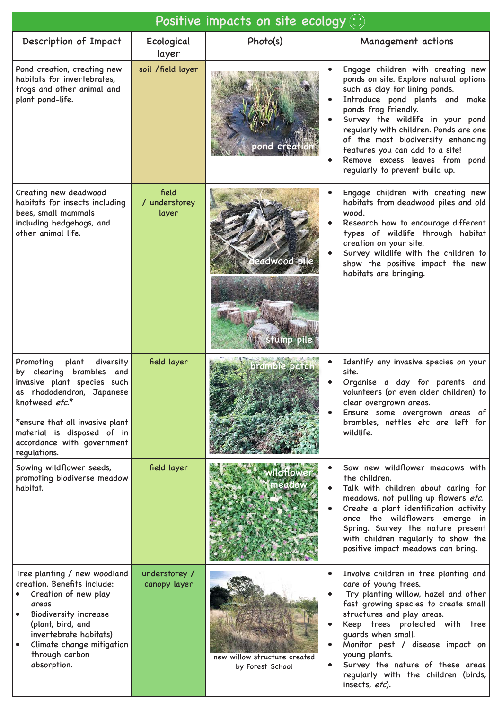| Positive impacts on site ecology $\left\langle \cdot \right\rangle$                                                                                                                                                                                      |                                 |                                                  |                                                                                                                                                                                                                                                                                                                                                                                                    |  |
|----------------------------------------------------------------------------------------------------------------------------------------------------------------------------------------------------------------------------------------------------------|---------------------------------|--------------------------------------------------|----------------------------------------------------------------------------------------------------------------------------------------------------------------------------------------------------------------------------------------------------------------------------------------------------------------------------------------------------------------------------------------------------|--|
| Description of Impact                                                                                                                                                                                                                                    | Ecological<br>layer             | Photo(s)                                         | Management actions                                                                                                                                                                                                                                                                                                                                                                                 |  |
| Pond creation, creating new<br>habitats for invertebrates,<br>frogs and other animal and<br>plant pond-life.                                                                                                                                             | soil / field layer              |                                                  | Engage children with creating new<br>ponds on site. Explore natural options<br>such as clay for lining ponds.<br>Introduce pond plants and make<br>ponds frog friendly.<br>Survey the wildlife in your pond<br>regularly with children. Ponds are one<br>of the most biodiversity enhancing<br>features you can add to a site!<br>Remove excess leaves from pond<br>regularly to prevent build up. |  |
| Creating new deadwood<br>habitats for insects including<br>bees, small mammals<br>including hedgehogs, and<br>other animal life.                                                                                                                         | field<br>/ understorey<br>layer | leadwood pile                                    | Engage children with creating new<br>habitats from deadwood piles and old<br>wood.<br>Research how to encourage different<br>types of wildlife through habitat<br>creation on your site.<br>Survey wildlife with the children to<br>show the positive impact the new<br>habitats are bringing.                                                                                                     |  |
| Promoting<br>plant<br>diversity<br>by clearing brambles and<br>invasive plant species such<br>as rhododendron, Japanese<br>knotweed etc.*<br>*ensure that all invasive plant<br>material is disposed of in<br>accordance with government<br>regulations. | field layer                     | bramble patch                                    | Identify any invasive species on your<br>site.<br>Organise a day for parents and<br>volunteers (or even older children) to<br>clear overgrown areas.<br>Ensure some overgrown areas of<br>brambles, nettles etc are left for<br>wildlife.                                                                                                                                                          |  |
| Sowing wildflower seeds,<br>promoting biodiverse meadow<br>habitat.                                                                                                                                                                                      | field layer                     | neadow                                           | Sow new wildflower meadows with<br>the children.<br>Talk with children about caring for<br>meadows, not pulling up flowers etc.<br>Create a plant identification activity<br>once the wildflowers emerge in<br>Spring. Survey the nature present<br>with children regularly to show the<br>positive impact meadows can bring.                                                                      |  |
| Tree planting / new woodland<br>creation. Benefits include:<br>Creation of new play<br>areas<br><b>Biodiversity increase</b><br>(plant, bird, and<br>invertebrate habitats)<br>Climate change mitigation<br>through carbon<br>absorption.                | understorey /<br>canopy layer   | new willow structure created<br>by Forest School | Involve children in tree planting and<br>care of young trees.<br>Try planting willow, hazel and other<br>fast growing species to create small<br>structures and play areas.<br>Keep trees protected with tree<br>guards when small.<br>Monitor pest / disease impact on<br>young plants.<br>Survey the nature of these areas<br>regularly with the children (birds,<br>insects, etc).              |  |